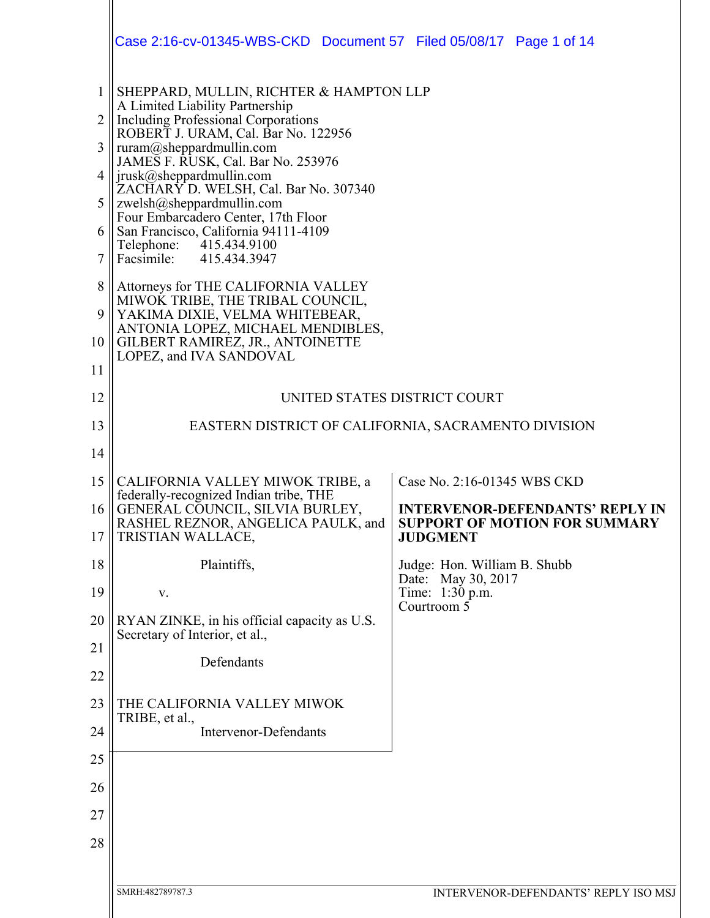|                   | Case 2:16-cv-01345-WBS-CKD  Document 57  Filed 05/08/17  Page 1 of 14                                                    |                                                                                                   |  |  |
|-------------------|--------------------------------------------------------------------------------------------------------------------------|---------------------------------------------------------------------------------------------------|--|--|
|                   |                                                                                                                          |                                                                                                   |  |  |
| $\mathbf{1}$<br>2 | SHEPPARD, MULLIN, RICHTER & HAMPTON LLP<br>A Limited Liability Partnership<br><b>Including Professional Corporations</b> |                                                                                                   |  |  |
| 3                 | ROBERT J. URAM, Cal. Bar No. 122956<br>ruram@sheppardmullin.com                                                          |                                                                                                   |  |  |
| 4                 | JAMES F. RUSK, Cal. Bar No. 253976<br>jrusk@sheppardmullin.com<br>ZACHARY D. WELSH, Cal. Bar No. 307340                  |                                                                                                   |  |  |
| 5                 | zwelsh@sheppardmullin.com<br>Four Embarcadero Center, 17th Floor                                                         |                                                                                                   |  |  |
| 6<br>7            | San Francisco, California 94111-4109<br>Telephone:<br>415.434.9100<br>Facsimile: 415.434.3947                            |                                                                                                   |  |  |
| 8                 | Attorneys for THE CALIFORNIA VALLEY<br>MIWOK TRIBE, THE TRIBAL COUNCIL,                                                  |                                                                                                   |  |  |
| 9                 | YAKIMA DIXIE, VELMA WHITEBEAR,<br>ANTONIA LOPEZ, MICHAEL MENDIBLES,                                                      |                                                                                                   |  |  |
| 10<br>11          | GILBERT RAMIREZ, JR., ANTOINETTE<br>LOPEZ, and IVA SANDOVAL                                                              |                                                                                                   |  |  |
| 12                | UNITED STATES DISTRICT COURT                                                                                             |                                                                                                   |  |  |
| 13                | EASTERN DISTRICT OF CALIFORNIA, SACRAMENTO DIVISION                                                                      |                                                                                                   |  |  |
| 14                |                                                                                                                          |                                                                                                   |  |  |
| 15                | CALIFORNIA VALLEY MIWOK TRIBE, a<br>federally-recognized Indian tribe, THE                                               | Case No. 2:16-01345 WBS CKD                                                                       |  |  |
| 16<br>17          | GENERAL COUNCIL, SILVIA BURLEY,<br>RASHEL REZNOR, ANGELICA PAULK, and<br>TRISTIAN WALLACE,                               | <b>INTERVENOR-DEFENDANTS' REPLY IN</b><br><b>SUPPORT OF MOTION FOR SUMMARY</b><br><b>JUDGMENT</b> |  |  |
| 18                | Plaintiffs,                                                                                                              | Judge: Hon. William B. Shubb                                                                      |  |  |
| 19                | V.                                                                                                                       | Date: May 30, 2017<br>Time: 1:30 p.m.<br>Courtroom $\overline{5}$                                 |  |  |
| 20                | RYAN ZINKE, in his official capacity as U.S.<br>Secretary of Interior, et al.,                                           |                                                                                                   |  |  |
| 21                | Defendants                                                                                                               |                                                                                                   |  |  |
| 22                |                                                                                                                          |                                                                                                   |  |  |
| 23                | THE CALIFORNIA VALLEY MIWOK<br>TRIBE, et al.,                                                                            |                                                                                                   |  |  |
| 24                | <b>Intervenor-Defendants</b>                                                                                             |                                                                                                   |  |  |
| 25                |                                                                                                                          |                                                                                                   |  |  |
| 26<br>27          |                                                                                                                          |                                                                                                   |  |  |
| 28                |                                                                                                                          |                                                                                                   |  |  |
|                   |                                                                                                                          |                                                                                                   |  |  |
|                   | SMRH:482789787.3                                                                                                         | INTERVENOR-DEFENDANTS' REPLY ISO MSJ                                                              |  |  |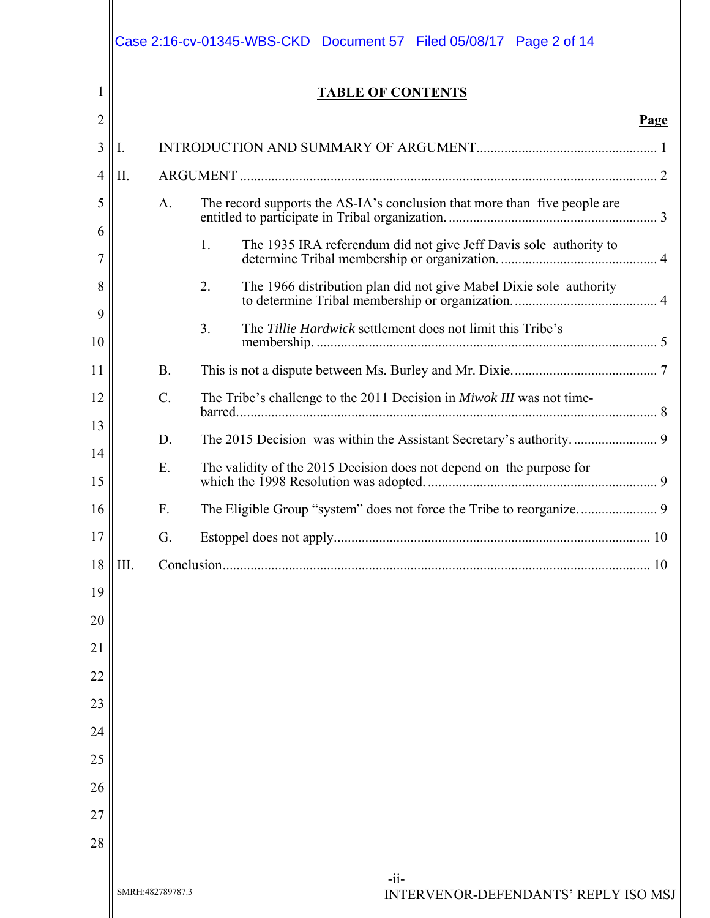| 1        |      |                  | <b>TABLE OF CONTENTS</b>                                                  |  |
|----------|------|------------------|---------------------------------------------------------------------------|--|
| 2        |      |                  | Page                                                                      |  |
| 3        | 1.   |                  |                                                                           |  |
| 4        | П.   |                  |                                                                           |  |
| 5<br>6   |      | A.               | The record supports the AS-IA's conclusion that more than five people are |  |
| 7        |      |                  | 1.<br>The 1935 IRA referendum did not give Jeff Davis sole authority to   |  |
| 8        |      |                  | 2.<br>The 1966 distribution plan did not give Mabel Dixie sole authority  |  |
| 9<br>10  |      |                  | 3.<br>The Tillie Hardwick settlement does not limit this Tribe's          |  |
| 11       |      | <b>B.</b>        |                                                                           |  |
| 12       |      | $\mathcal{C}$ .  | The Tribe's challenge to the 2011 Decision in Miwok III was not time-     |  |
| 13       |      | D.               |                                                                           |  |
| 14<br>15 |      | E.               | The validity of the 2015 Decision does not depend on the purpose for      |  |
| 16       |      | F.               |                                                                           |  |
| 17       |      | G.               |                                                                           |  |
| 18       | III. |                  |                                                                           |  |
| 19       |      |                  |                                                                           |  |
| 20       |      |                  |                                                                           |  |
| 21       |      |                  |                                                                           |  |
| 22       |      |                  |                                                                           |  |
| 23       |      |                  |                                                                           |  |
| 24       |      |                  |                                                                           |  |
| 25       |      |                  |                                                                           |  |
| 26       |      |                  |                                                                           |  |
| 27       |      |                  |                                                                           |  |
| 28       |      |                  |                                                                           |  |
|          |      | SMRH:482789787.3 | $-ii-$<br>INTERVENOR-DEFENDANTS' REPLY ISO MSJ                            |  |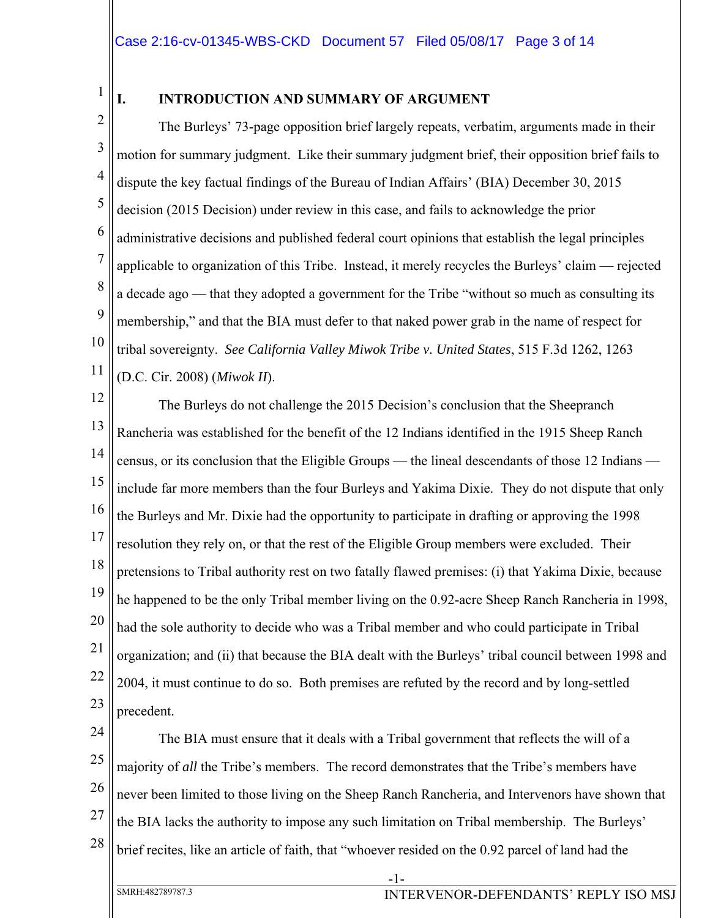1

# **I. INTRODUCTION AND SUMMARY OF ARGUMENT**

2 3 4 5 6 7 8 9 10 11 The Burleys' 73-page opposition brief largely repeats, verbatim, arguments made in their motion for summary judgment. Like their summary judgment brief, their opposition brief fails to dispute the key factual findings of the Bureau of Indian Affairs' (BIA) December 30, 2015 decision (2015 Decision) under review in this case, and fails to acknowledge the prior administrative decisions and published federal court opinions that establish the legal principles applicable to organization of this Tribe. Instead, it merely recycles the Burleys' claim — rejected a decade ago — that they adopted a government for the Tribe "without so much as consulting its membership," and that the BIA must defer to that naked power grab in the name of respect for tribal sovereignty. *See California Valley Miwok Tribe v. United States*, 515 F.3d 1262, 1263 (D.C. Cir. 2008) (*Miwok II*).

12 13 14 15 16 17 18 19 20 21 22 23 The Burleys do not challenge the 2015 Decision's conclusion that the Sheepranch Rancheria was established for the benefit of the 12 Indians identified in the 1915 Sheep Ranch census, or its conclusion that the Eligible Groups — the lineal descendants of those 12 Indians include far more members than the four Burleys and Yakima Dixie. They do not dispute that only the Burleys and Mr. Dixie had the opportunity to participate in drafting or approving the 1998 resolution they rely on, or that the rest of the Eligible Group members were excluded. Their pretensions to Tribal authority rest on two fatally flawed premises: (i) that Yakima Dixie, because he happened to be the only Tribal member living on the 0.92-acre Sheep Ranch Rancheria in 1998, had the sole authority to decide who was a Tribal member and who could participate in Tribal organization; and (ii) that because the BIA dealt with the Burleys' tribal council between 1998 and 2004, it must continue to do so. Both premises are refuted by the record and by long-settled precedent.

24 25 26 27 28 The BIA must ensure that it deals with a Tribal government that reflects the will of a majority of *all* the Tribe's members. The record demonstrates that the Tribe's members have never been limited to those living on the Sheep Ranch Rancheria, and Intervenors have shown that the BIA lacks the authority to impose any such limitation on Tribal membership. The Burleys' brief recites, like an article of faith, that "whoever resided on the 0.92 parcel of land had the

-1-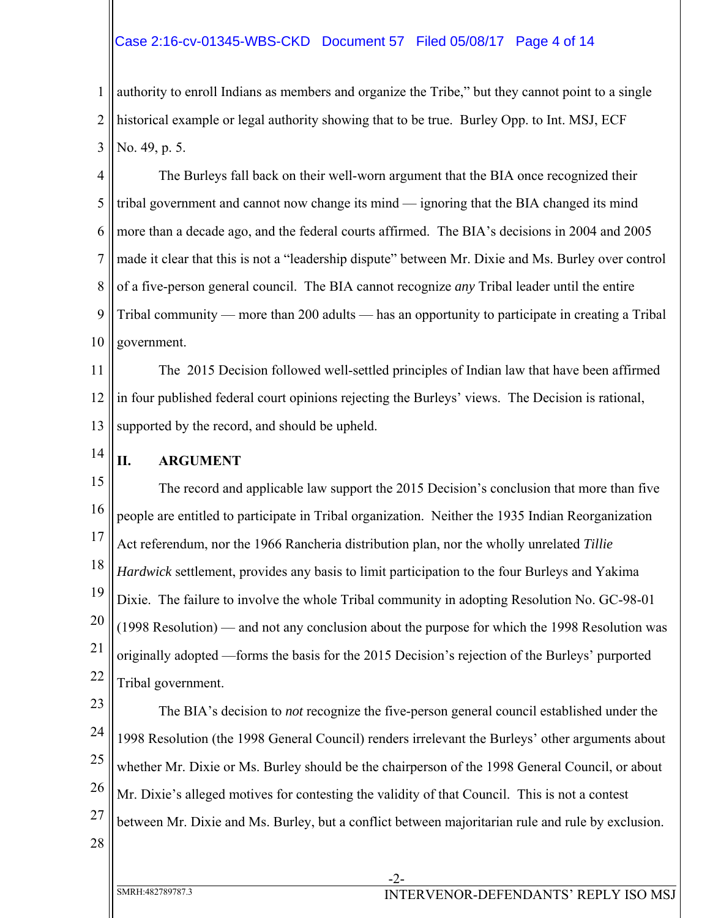# Case 2:16-cv-01345-WBS-CKD Document 57 Filed 05/08/17 Page 4 of 14

1 2 3 authority to enroll Indians as members and organize the Tribe," but they cannot point to a single historical example or legal authority showing that to be true. Burley Opp. to Int. MSJ, ECF No. 49, p. 5.

4 5 6 7 8 9 10 The Burleys fall back on their well-worn argument that the BIA once recognized their tribal government and cannot now change its mind — ignoring that the BIA changed its mind more than a decade ago, and the federal courts affirmed. The BIA's decisions in 2004 and 2005 made it clear that this is not a "leadership dispute" between Mr. Dixie and Ms. Burley over control of a five-person general council. The BIA cannot recognize *any* Tribal leader until the entire Tribal community — more than 200 adults — has an opportunity to participate in creating a Tribal government.

11 12 13 The 2015 Decision followed well-settled principles of Indian law that have been affirmed in four published federal court opinions rejecting the Burleys' views. The Decision is rational, supported by the record, and should be upheld.

14

## **II. ARGUMENT**

15 16 17 18 19 20 21 22 The record and applicable law support the 2015 Decision's conclusion that more than five people are entitled to participate in Tribal organization. Neither the 1935 Indian Reorganization Act referendum, nor the 1966 Rancheria distribution plan, nor the wholly unrelated *Tillie Hardwick* settlement, provides any basis to limit participation to the four Burleys and Yakima Dixie. The failure to involve the whole Tribal community in adopting Resolution No. GC-98-01 (1998 Resolution) — and not any conclusion about the purpose for which the 1998 Resolution was originally adopted —forms the basis for the 2015 Decision's rejection of the Burleys' purported Tribal government.

23 24 25 26 27 The BIA's decision to *not* recognize the five-person general council established under the 1998 Resolution (the 1998 General Council) renders irrelevant the Burleys' other arguments about whether Mr. Dixie or Ms. Burley should be the chairperson of the 1998 General Council, or about Mr. Dixie's alleged motives for contesting the validity of that Council. This is not a contest between Mr. Dixie and Ms. Burley, but a conflict between majoritarian rule and rule by exclusion.

28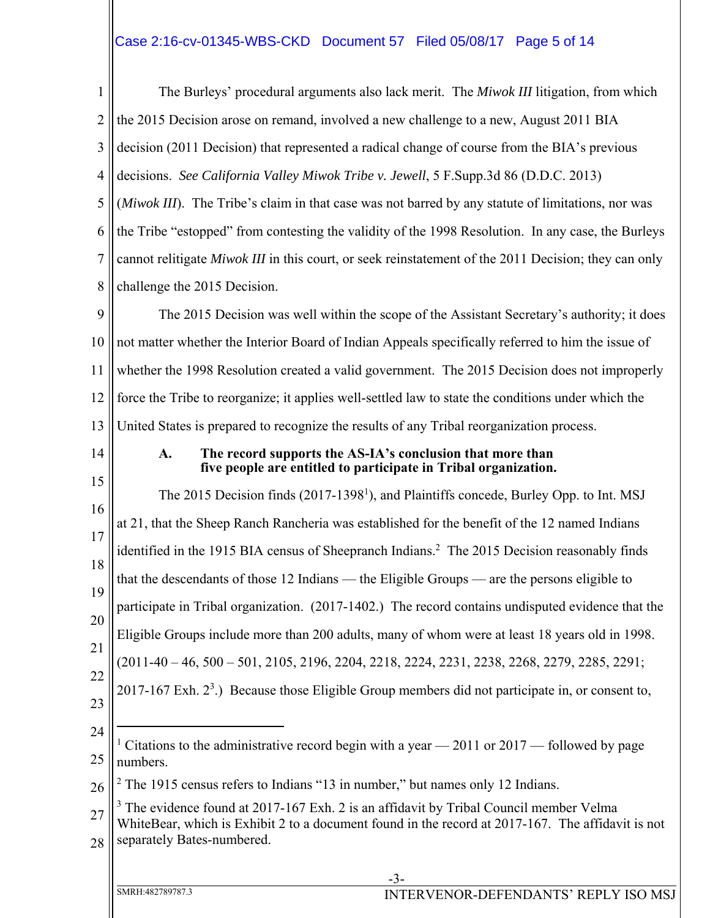# Case 2:16-cv-01345-WBS-CKD Document 57 Filed 05/08/17 Page 5 of 14

1 2 3 4 5 6 7 8 9 10 11 12 13 14 15 16 17 18 19 20 21 22 23 24 25 26 27 28 -3- SMRH:482789787.3 INTERVENOR-DEFENDANTS' REPLY ISO MSJ The Burleys' procedural arguments also lack merit. The *Miwok III* litigation, from which the 2015 Decision arose on remand, involved a new challenge to a new, August 2011 BIA decision (2011 Decision) that represented a radical change of course from the BIA's previous decisions. *See California Valley Miwok Tribe v. Jewell*, 5 F.Supp.3d 86 (D.D.C. 2013) (*Miwok III*). The Tribe's claim in that case was not barred by any statute of limitations, nor was the Tribe "estopped" from contesting the validity of the 1998 Resolution. In any case, the Burleys cannot relitigate *Miwok III* in this court, or seek reinstatement of the 2011 Decision; they can only challenge the 2015 Decision. The 2015 Decision was well within the scope of the Assistant Secretary's authority; it does not matter whether the Interior Board of Indian Appeals specifically referred to him the issue of whether the 1998 Resolution created a valid government. The 2015 Decision does not improperly force the Tribe to reorganize; it applies well-settled law to state the conditions under which the United States is prepared to recognize the results of any Tribal reorganization process. **A. The record supports the AS-IA's conclusion that more than five people are entitled to participate in Tribal organization.** The 2015 Decision finds (2017-1398<sup>1</sup>), and Plaintiffs concede, Burley Opp. to Int. MSJ at 21, that the Sheep Ranch Rancheria was established for the benefit of the 12 named Indians identified in the 1915 BIA census of Sheepranch Indians.<sup>2</sup> The 2015 Decision reasonably finds that the descendants of those 12 Indians — the Eligible Groups — are the persons eligible to participate in Tribal organization. (2017-1402.) The record contains undisputed evidence that the Eligible Groups include more than 200 adults, many of whom were at least 18 years old in 1998. (2011-40 – 46, 500 – 501, 2105, 2196, 2204, 2218, 2224, 2231, 2238, 2268, 2279, 2285, 2291; 2017-167 Exh.  $2<sup>3</sup>$ .) Because those Eligible Group members did not participate in, or consent to,  $\overline{a}$ <sup>1</sup> Citations to the administrative record begin with a year  $-$  2011 or 2017  $-$  followed by page numbers. <sup>2</sup> The 1915 census refers to Indians "13 in number," but names only 12 Indians.  $3$  The evidence found at 2017-167 Exh. 2 is an affidavit by Tribal Council member Velma WhiteBear, which is Exhibit 2 to a document found in the record at 2017-167. The affidavit is not separately Bates-numbered.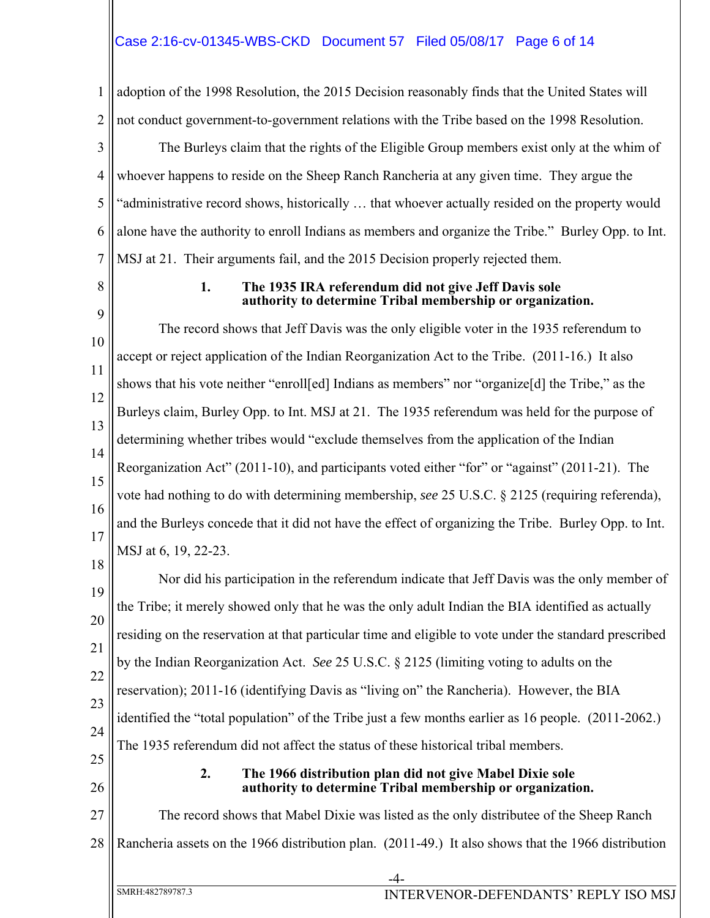# Case 2:16-cv-01345-WBS-CKD Document 57 Filed 05/08/17 Page 6 of 14

1 2 adoption of the 1998 Resolution, the 2015 Decision reasonably finds that the United States will not conduct government-to-government relations with the Tribe based on the 1998 Resolution.

3 4 5 6 7 The Burleys claim that the rights of the Eligible Group members exist only at the whim of whoever happens to reside on the Sheep Ranch Rancheria at any given time. They argue the "administrative record shows, historically … that whoever actually resided on the property would alone have the authority to enroll Indians as members and organize the Tribe." Burley Opp. to Int. MSJ at 21. Their arguments fail, and the 2015 Decision properly rejected them.

8

#### **1. The 1935 IRA referendum did not give Jeff Davis sole authority to determine Tribal membership or organization.**

9 10 11 12 13 14 15 16 17 The record shows that Jeff Davis was the only eligible voter in the 1935 referendum to accept or reject application of the Indian Reorganization Act to the Tribe. (2011-16.) It also shows that his vote neither "enroll[ed] Indians as members" nor "organize[d] the Tribe," as the Burleys claim, Burley Opp. to Int. MSJ at 21. The 1935 referendum was held for the purpose of determining whether tribes would "exclude themselves from the application of the Indian Reorganization Act" (2011-10), and participants voted either "for" or "against" (2011-21). The vote had nothing to do with determining membership, *see* 25 U.S.C. § 2125 (requiring referenda), and the Burleys concede that it did not have the effect of organizing the Tribe. Burley Opp. to Int. MSJ at 6, 19, 22-23.

19 20 21 22 23 24 Nor did his participation in the referendum indicate that Jeff Davis was the only member of the Tribe; it merely showed only that he was the only adult Indian the BIA identified as actually residing on the reservation at that particular time and eligible to vote under the standard prescribed by the Indian Reorganization Act. *See* 25 U.S.C. § 2125 (limiting voting to adults on the reservation); 2011-16 (identifying Davis as "living on" the Rancheria). However, the BIA identified the "total population" of the Tribe just a few months earlier as 16 people. (2011-2062.) The 1935 referendum did not affect the status of these historical tribal members.

25 26

18

### **2. The 1966 distribution plan did not give Mabel Dixie sole authority to determine Tribal membership or organization.**

27 28 The record shows that Mabel Dixie was listed as the only distributee of the Sheep Ranch Rancheria assets on the 1966 distribution plan. (2011-49.) It also shows that the 1966 distribution

-4-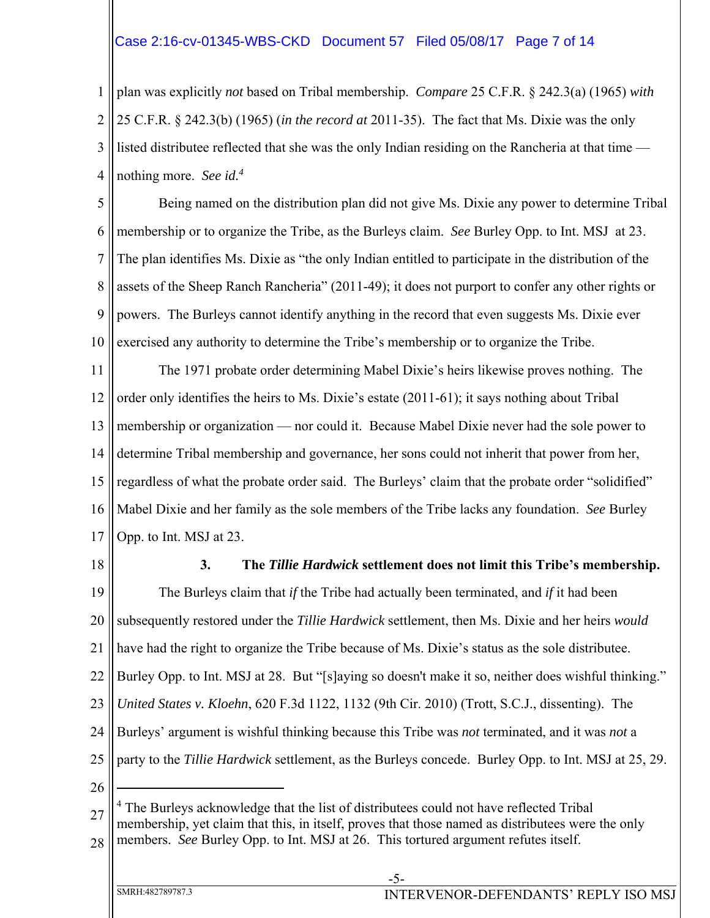## Case 2:16-cv-01345-WBS-CKD Document 57 Filed 05/08/17 Page 7 of 14

1 2 3 4 plan was explicitly *not* based on Tribal membership. *Compare* 25 C.F.R. § 242.3(a) (1965) *with*  25 C.F.R. § 242.3(b) (1965) (*in the record at* 2011-35). The fact that Ms. Dixie was the only listed distributee reflected that she was the only Indian residing on the Rancheria at that time nothing more. *See id.4* 

5 6 7 8 9 10 Being named on the distribution plan did not give Ms. Dixie any power to determine Tribal membership or to organize the Tribe, as the Burleys claim. *See* Burley Opp. to Int. MSJ at 23. The plan identifies Ms. Dixie as "the only Indian entitled to participate in the distribution of the assets of the Sheep Ranch Rancheria" (2011-49); it does not purport to confer any other rights or powers. The Burleys cannot identify anything in the record that even suggests Ms. Dixie ever exercised any authority to determine the Tribe's membership or to organize the Tribe.

11 12 13 14 15 16 17 The 1971 probate order determining Mabel Dixie's heirs likewise proves nothing. The order only identifies the heirs to Ms. Dixie's estate (2011-61); it says nothing about Tribal membership or organization — nor could it. Because Mabel Dixie never had the sole power to determine Tribal membership and governance, her sons could not inherit that power from her, regardless of what the probate order said. The Burleys' claim that the probate order "solidified" Mabel Dixie and her family as the sole members of the Tribe lacks any foundation. *See* Burley Opp. to Int. MSJ at 23.

18

### **3. The** *Tillie Hardwick* **settlement does not limit this Tribe's membership.**

19 20 21 22 23 24 25 26 The Burleys claim that *if* the Tribe had actually been terminated, and *if* it had been subsequently restored under the *Tillie Hardwick* settlement, then Ms. Dixie and her heirs *would* have had the right to organize the Tribe because of Ms. Dixie's status as the sole distributee. Burley Opp. to Int. MSJ at 28. But "[s]aying so doesn't make it so, neither does wishful thinking." *United States v. Kloehn*, 620 F.3d 1122, 1132 (9th Cir. 2010) (Trott, S.C.J., dissenting). The Burleys' argument is wishful thinking because this Tribe was *not* terminated, and it was *not* a party to the *Tillie Hardwick* settlement, as the Burleys concede. Burley Opp. to Int. MSJ at 25, 29.  $\overline{a}$ 

-5-

<sup>27</sup> 28 <sup>4</sup> The Burleys acknowledge that the list of distributees could not have reflected Tribal membership, yet claim that this, in itself, proves that those named as distributees were the only members. *See* Burley Opp. to Int. MSJ at 26. This tortured argument refutes itself.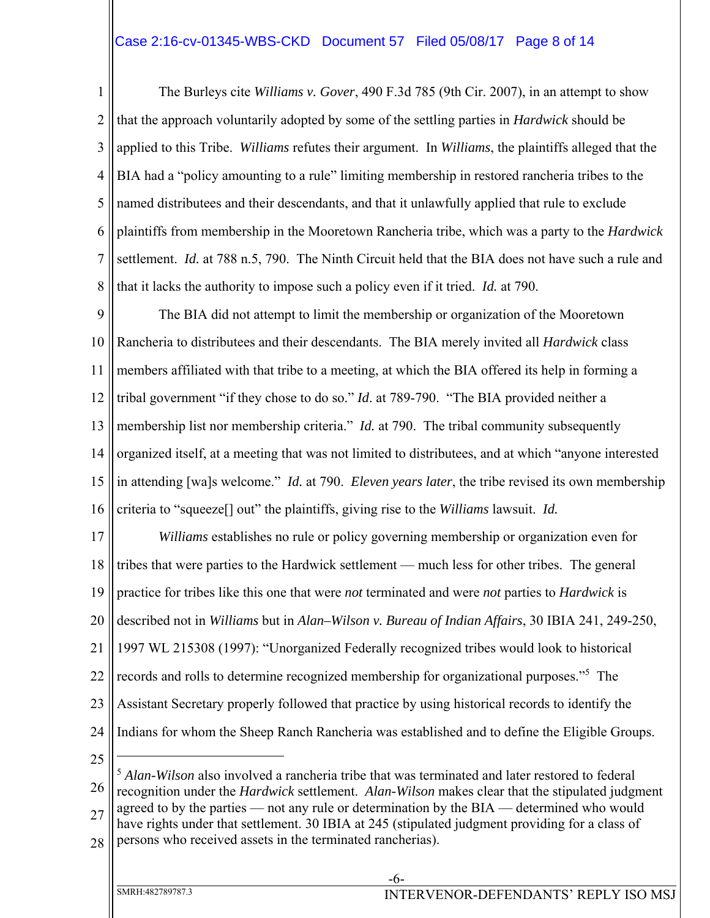# Case 2:16-cv-01345-WBS-CKD Document 57 Filed 05/08/17 Page 8 of 14

1 2 3 4 5 6 7 8 The Burleys cite *Williams v. Gover*, 490 F.3d 785 (9th Cir. 2007), in an attempt to show that the approach voluntarily adopted by some of the settling parties in *Hardwick* should be applied to this Tribe. *Williams* refutes their argument. In *Williams*, the plaintiffs alleged that the BIA had a "policy amounting to a rule" limiting membership in restored rancheria tribes to the named distributees and their descendants, and that it unlawfully applied that rule to exclude plaintiffs from membership in the Mooretown Rancheria tribe, which was a party to the *Hardwick* settlement. *Id.* at 788 n.5, 790. The Ninth Circuit held that the BIA does not have such a rule and that it lacks the authority to impose such a policy even if it tried. *Id.* at 790.

9 10 11 12 13 14 15 16 The BIA did not attempt to limit the membership or organization of the Mooretown Rancheria to distributees and their descendants. The BIA merely invited all *Hardwick* class members affiliated with that tribe to a meeting, at which the BIA offered its help in forming a tribal government "if they chose to do so." *Id*. at 789-790. "The BIA provided neither a membership list nor membership criteria." *Id.* at 790. The tribal community subsequently organized itself, at a meeting that was not limited to distributees, and at which "anyone interested in attending [wa]s welcome." *Id.* at 790. *Eleven years later*, the tribe revised its own membership criteria to "squeeze[] out" the plaintiffs, giving rise to the *Williams* lawsuit. *Id.*

17 18 19 20 21 22 23 24 *Williams* establishes no rule or policy governing membership or organization even for tribes that were parties to the Hardwick settlement — much less for other tribes. The general practice for tribes like this one that were *not* terminated and were *not* parties to *Hardwick* is described not in *Williams* but in *Alan–Wilson v. Bureau of Indian Affairs*, 30 IBIA 241, 249-250, 1997 WL 215308 (1997): "Unorganized Federally recognized tribes would look to historical records and rolls to determine recognized membership for organizational purposes."<sup>5</sup> The Assistant Secretary properly followed that practice by using historical records to identify the Indians for whom the Sheep Ranch Rancheria was established and to define the Eligible Groups.  $\overline{a}$ 

25

26 <sup>5</sup> *Alan-Wilson* also involved a rancheria tribe that was terminated and later restored to federal recognition under the *Hardwick* settlement. *Alan-Wilson* makes clear that the stipulated judgment

27 agreed to by the parties — not any rule or determination by the BIA — determined who would have rights under that settlement. 30 IBIA at 245 (stipulated judgment providing for a class of

28 persons who received assets in the terminated rancherias).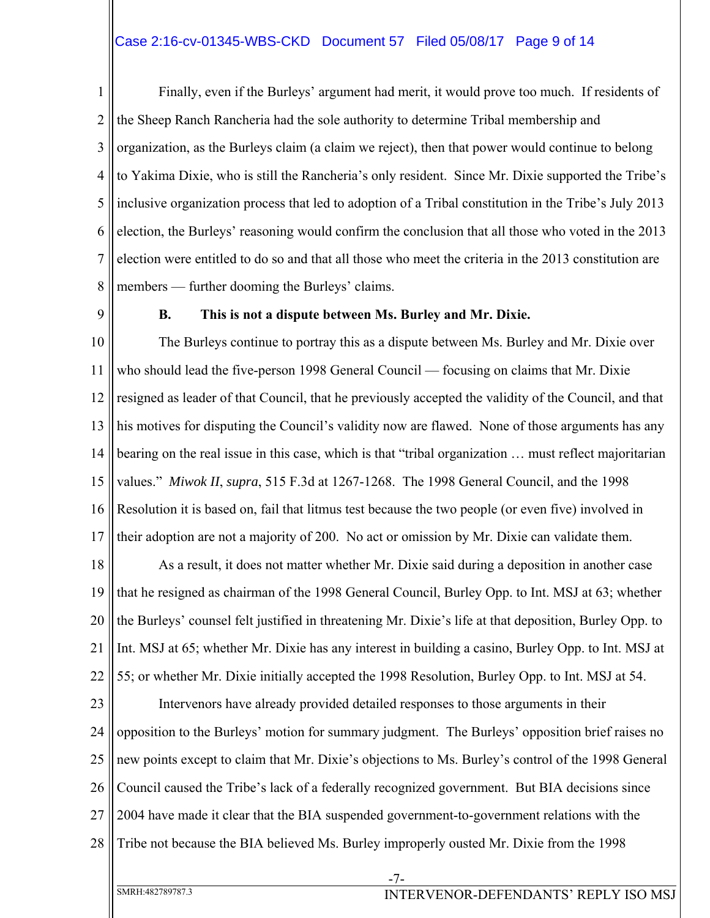## Case 2:16-cv-01345-WBS-CKD Document 57 Filed 05/08/17 Page 9 of 14

1 2 3 4 5 6 7 8 Finally, even if the Burleys' argument had merit, it would prove too much. If residents of the Sheep Ranch Rancheria had the sole authority to determine Tribal membership and organization, as the Burleys claim (a claim we reject), then that power would continue to belong to Yakima Dixie, who is still the Rancheria's only resident. Since Mr. Dixie supported the Tribe's inclusive organization process that led to adoption of a Tribal constitution in the Tribe's July 2013 election, the Burleys' reasoning would confirm the conclusion that all those who voted in the 2013 election were entitled to do so and that all those who meet the criteria in the 2013 constitution are members — further dooming the Burleys' claims.

9

#### **B. This is not a dispute between Ms. Burley and Mr. Dixie.**

10 11 12 13 14 15 16 17 The Burleys continue to portray this as a dispute between Ms. Burley and Mr. Dixie over who should lead the five-person 1998 General Council — focusing on claims that Mr. Dixie resigned as leader of that Council, that he previously accepted the validity of the Council, and that his motives for disputing the Council's validity now are flawed. None of those arguments has any bearing on the real issue in this case, which is that "tribal organization … must reflect majoritarian values." *Miwok II*, *supra*, 515 F.3d at 1267-1268. The 1998 General Council, and the 1998 Resolution it is based on, fail that litmus test because the two people (or even five) involved in their adoption are not a majority of 200. No act or omission by Mr. Dixie can validate them.

18 19 20 21 22 As a result, it does not matter whether Mr. Dixie said during a deposition in another case that he resigned as chairman of the 1998 General Council, Burley Opp. to Int. MSJ at 63; whether the Burleys' counsel felt justified in threatening Mr. Dixie's life at that deposition, Burley Opp. to Int. MSJ at 65; whether Mr. Dixie has any interest in building a casino, Burley Opp. to Int. MSJ at 55; or whether Mr. Dixie initially accepted the 1998 Resolution, Burley Opp. to Int. MSJ at 54.

23 24 25 26 27 28 Intervenors have already provided detailed responses to those arguments in their opposition to the Burleys' motion for summary judgment. The Burleys' opposition brief raises no new points except to claim that Mr. Dixie's objections to Ms. Burley's control of the 1998 General Council caused the Tribe's lack of a federally recognized government. But BIA decisions since 2004 have made it clear that the BIA suspended government-to-government relations with the Tribe not because the BIA believed Ms. Burley improperly ousted Mr. Dixie from the 1998

-7-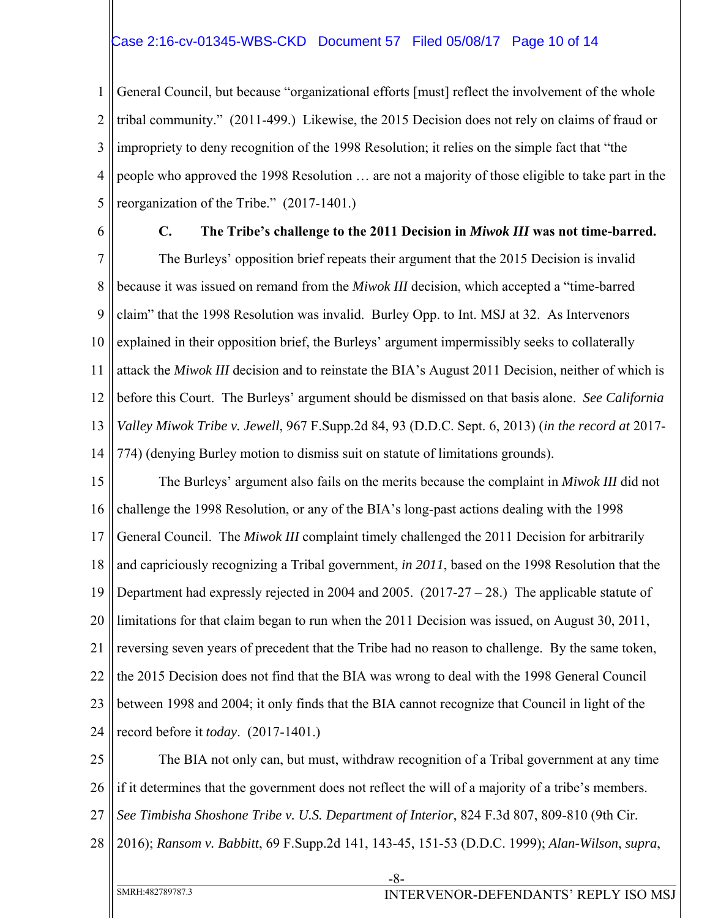## Case 2:16-cv-01345-WBS-CKD Document 57 Filed 05/08/17 Page 10 of 14

1 2 3 4 5 General Council, but because "organizational efforts [must] reflect the involvement of the whole tribal community." (2011-499.) Likewise, the 2015 Decision does not rely on claims of fraud or impropriety to deny recognition of the 1998 Resolution; it relies on the simple fact that "the people who approved the 1998 Resolution … are not a majority of those eligible to take part in the reorganization of the Tribe." (2017-1401.)

6

### **C. The Tribe's challenge to the 2011 Decision in** *Miwok III* **was not time-barred.**

7 8 9 10 11 12 13 14 The Burleys' opposition brief repeats their argument that the 2015 Decision is invalid because it was issued on remand from the *Miwok III* decision, which accepted a "time-barred claim" that the 1998 Resolution was invalid. Burley Opp. to Int. MSJ at 32. As Intervenors explained in their opposition brief, the Burleys' argument impermissibly seeks to collaterally attack the *Miwok III* decision and to reinstate the BIA's August 2011 Decision, neither of which is before this Court. The Burleys' argument should be dismissed on that basis alone. *See California Valley Miwok Tribe v. Jewell*, 967 F.Supp.2d 84, 93 (D.D.C. Sept. 6, 2013) (*in the record at* 2017- 774) (denying Burley motion to dismiss suit on statute of limitations grounds).

15 16 17 18 19 20 21 22 23 24 The Burleys' argument also fails on the merits because the complaint in *Miwok III* did not challenge the 1998 Resolution, or any of the BIA's long-past actions dealing with the 1998 General Council. The *Miwok III* complaint timely challenged the 2011 Decision for arbitrarily and capriciously recognizing a Tribal government, *in 2011*, based on the 1998 Resolution that the Department had expressly rejected in 2004 and 2005.  $(2017-27-28)$ . The applicable statute of limitations for that claim began to run when the 2011 Decision was issued, on August 30, 2011, reversing seven years of precedent that the Tribe had no reason to challenge. By the same token, the 2015 Decision does not find that the BIA was wrong to deal with the 1998 General Council between 1998 and 2004; it only finds that the BIA cannot recognize that Council in light of the record before it *today*. (2017-1401.)

25 26 27 28 The BIA not only can, but must, withdraw recognition of a Tribal government at any time if it determines that the government does not reflect the will of a majority of a tribe's members. *See Timbisha Shoshone Tribe v. U.S. Department of Interior*, 824 F.3d 807, 809-810 (9th Cir. 2016); *Ransom v. Babbitt*, 69 F.Supp.2d 141, 143-45, 151-53 (D.D.C. 1999); *Alan-Wilson*, *supra*,

-8-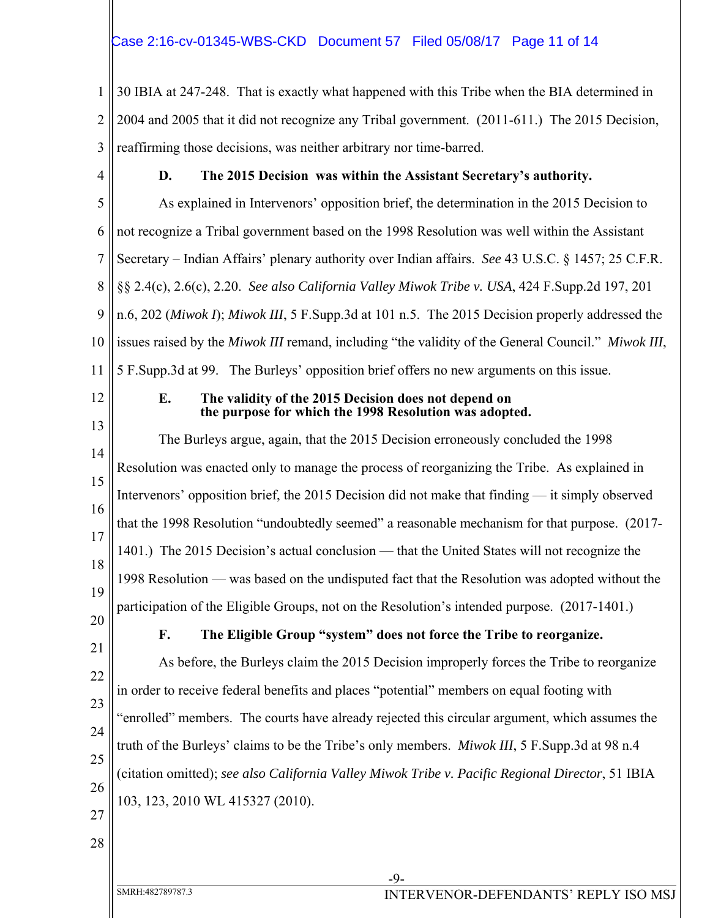# Case 2:16-cv-01345-WBS-CKD Document 57 Filed 05/08/17 Page 11 of 14

1 2 3 30 IBIA at 247-248. That is exactly what happened with this Tribe when the BIA determined in 2004 and 2005 that it did not recognize any Tribal government. (2011-611.) The 2015 Decision, reaffirming those decisions, was neither arbitrary nor time-barred.

4

# **D. The 2015 Decision was within the Assistant Secretary's authority.**

5 6 7 8 9 10 11 As explained in Intervenors' opposition brief, the determination in the 2015 Decision to not recognize a Tribal government based on the 1998 Resolution was well within the Assistant Secretary – Indian Affairs' plenary authority over Indian affairs. *See* 43 U.S.C. § 1457; 25 C.F.R. §§ 2.4(c), 2.6(c), 2.20. *See also California Valley Miwok Tribe v. USA*, 424 F.Supp.2d 197, 201 n.6, 202 (*Miwok I*); *Miwok III*, 5 F.Supp.3d at 101 n.5. The 2015 Decision properly addressed the issues raised by the *Miwok III* remand, including "the validity of the General Council." *Miwok III*, 5 F.Supp.3d at 99. The Burleys' opposition brief offers no new arguments on this issue.

12

### **E. The validity of the 2015 Decision does not depend on the purpose for which the 1998 Resolution was adopted.**

13 14 15 16 17 18 19 The Burleys argue, again, that the 2015 Decision erroneously concluded the 1998 Resolution was enacted only to manage the process of reorganizing the Tribe. As explained in Intervenors' opposition brief, the 2015 Decision did not make that finding — it simply observed that the 1998 Resolution "undoubtedly seemed" a reasonable mechanism for that purpose. (2017- 1401.) The 2015 Decision's actual conclusion — that the United States will not recognize the 1998 Resolution — was based on the undisputed fact that the Resolution was adopted without the participation of the Eligible Groups, not on the Resolution's intended purpose. (2017-1401.)

20

21

# **F. The Eligible Group "system" does not force the Tribe to reorganize.**

22 23 24 25 26 As before, the Burleys claim the 2015 Decision improperly forces the Tribe to reorganize in order to receive federal benefits and places "potential" members on equal footing with "enrolled" members. The courts have already rejected this circular argument, which assumes the truth of the Burleys' claims to be the Tribe's only members. *Miwok III*, 5 F.Supp.3d at 98 n.4 (citation omitted); *see also California Valley Miwok Tribe v. Pacific Regional Director*, 51 IBIA 103, 123, 2010 WL 415327 (2010).

- 27
- 28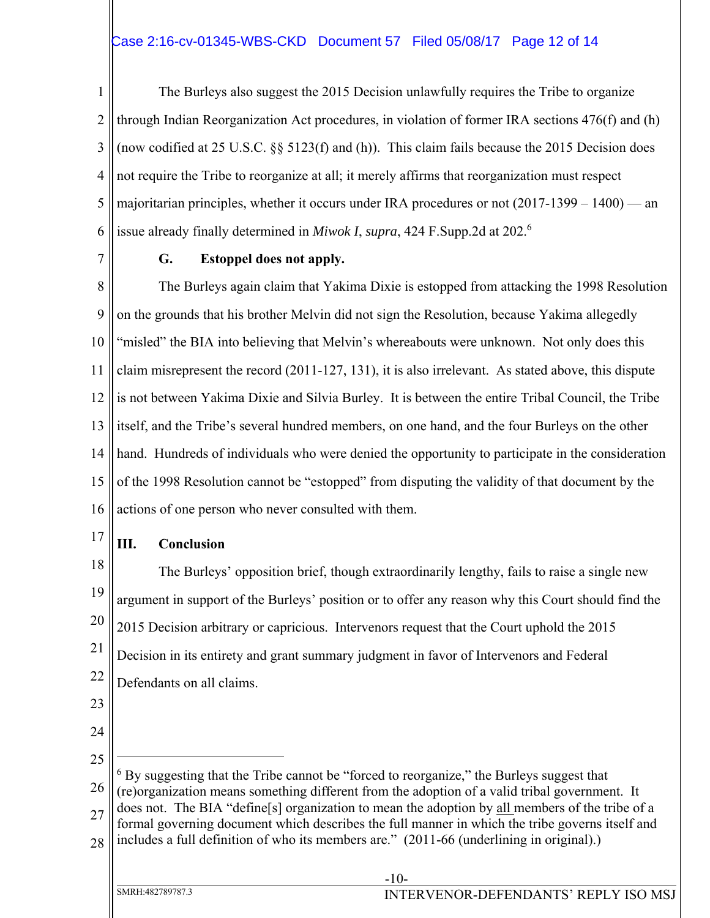# Case 2:16-cv-01345-WBS-CKD Document 57 Filed 05/08/17 Page 12 of 14

1 2 3 4 5 6 The Burleys also suggest the 2015 Decision unlawfully requires the Tribe to organize through Indian Reorganization Act procedures, in violation of former IRA sections 476(f) and (h) (now codified at 25 U.S.C. §§ 5123(f) and (h)). This claim fails because the 2015 Decision does not require the Tribe to reorganize at all; it merely affirms that reorganization must respect majoritarian principles, whether it occurs under IRA procedures or not (2017-1399 – 1400) — an issue already finally determined in *Miwok I*, *supra*, 424 F.Supp.2d at 202.<sup>6</sup>

7

### **G. Estoppel does not apply.**

8 9 10 11 12 13 14 15 16 The Burleys again claim that Yakima Dixie is estopped from attacking the 1998 Resolution on the grounds that his brother Melvin did not sign the Resolution, because Yakima allegedly "misled" the BIA into believing that Melvin's whereabouts were unknown. Not only does this claim misrepresent the record (2011-127, 131), it is also irrelevant. As stated above, this dispute is not between Yakima Dixie and Silvia Burley. It is between the entire Tribal Council, the Tribe itself, and the Tribe's several hundred members, on one hand, and the four Burleys on the other hand. Hundreds of individuals who were denied the opportunity to participate in the consideration of the 1998 Resolution cannot be "estopped" from disputing the validity of that document by the actions of one person who never consulted with them.

17

## **III. Conclusion**

18 19 20 21 22 The Burleys' opposition brief, though extraordinarily lengthy, fails to raise a single new argument in support of the Burleys' position or to offer any reason why this Court should find the 2015 Decision arbitrary or capricious. Intervenors request that the Court uphold the 2015 Decision in its entirety and grant summary judgment in favor of Intervenors and Federal Defendants on all claims.

- 23
- 24
- 25 26 27 28  $\overline{a}$ <sup>6</sup> By suggesting that the Tribe cannot be "forced to reorganize," the Burleys suggest that (re)organization means something different from the adoption of a valid tribal government. It does not. The BIA "define[s] organization to mean the adoption by all members of the tribe of a formal governing document which describes the full manner in which the tribe governs itself and includes a full definition of who its members are." (2011-66 (underlining in original).)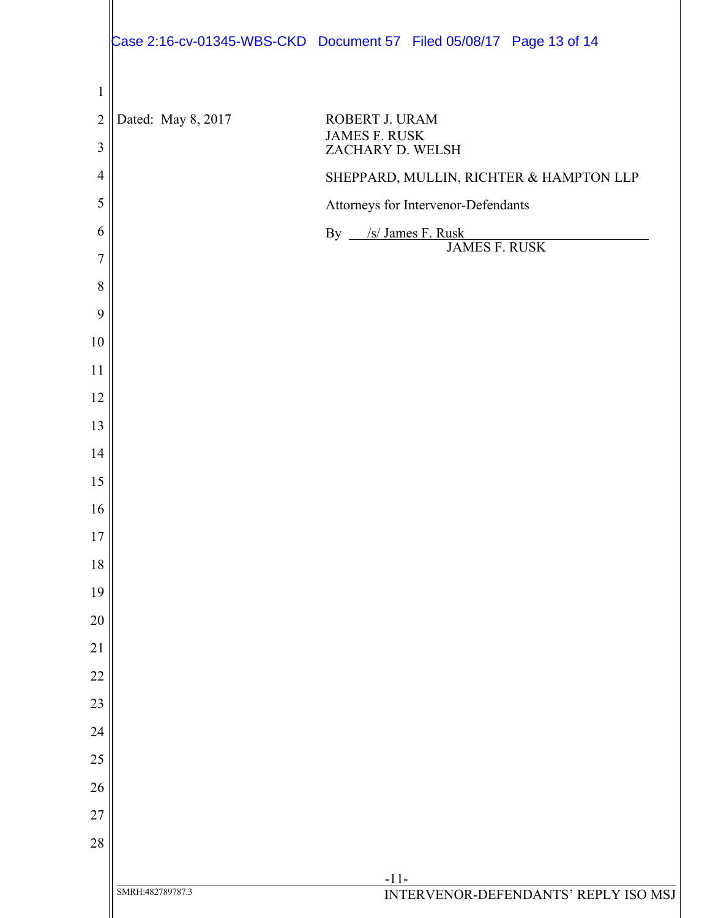|                |                    | Case 2:16-cv-01345-WBS-CKD Document 57 Filed 05/08/17 Page 13 of 14 |
|----------------|--------------------|---------------------------------------------------------------------|
| $\mathbf{1}$   |                    |                                                                     |
| $\overline{2}$ | Dated: May 8, 2017 | ROBERT J. URAM                                                      |
| 3              |                    | <b>JAMES F. RUSK</b><br>ZACHARY D. WELSH                            |
| $\overline{4}$ |                    | SHEPPARD, MULLIN, RICHTER & HAMPTON LLP                             |
| 5              |                    | Attorneys for Intervenor-Defendants                                 |
| 6              |                    | By /s/ James F. Rusk<br><b>JAMES F. RUSK</b>                        |
| 7              |                    |                                                                     |
| 8              |                    |                                                                     |
| 9              |                    |                                                                     |
| 10             |                    |                                                                     |
| 11             |                    |                                                                     |
| 12<br>13       |                    |                                                                     |
| 14             |                    |                                                                     |
| 15             |                    |                                                                     |
| 16             |                    |                                                                     |
| 17             |                    |                                                                     |
| 18             |                    |                                                                     |
| 19             |                    |                                                                     |
| 20             |                    |                                                                     |
| 21             |                    |                                                                     |
| 22             |                    |                                                                     |
| 23             |                    |                                                                     |
| 24             |                    |                                                                     |
| 25             |                    |                                                                     |
| 26             |                    |                                                                     |
| 27             |                    |                                                                     |
| 28             |                    |                                                                     |
|                |                    | $-11-$                                                              |
|                | SMRH:482789787.3   | INTERVENOR-DEFENDANTS' REPLY ISO MSJ                                |